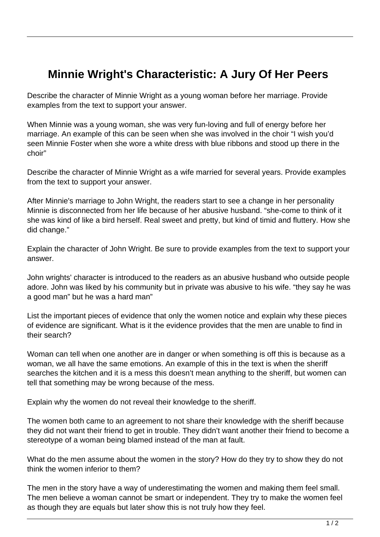## **Minnie Wright's Characteristic: A Jury Of Her Peers**

Describe the character of Minnie Wright as a young woman before her marriage. Provide examples from the text to support your answer.

When Minnie was a young woman, she was very fun-loving and full of energy before her marriage. An example of this can be seen when she was involved in the choir "I wish you'd seen Minnie Foster when she wore a white dress with blue ribbons and stood up there in the choir"

Describe the character of Minnie Wright as a wife married for several years. Provide examples from the text to support your answer.

After Minnie's marriage to John Wright, the readers start to see a change in her personality Minnie is disconnected from her life because of her abusive husband. "she-come to think of it she was kind of like a bird herself. Real sweet and pretty, but kind of timid and fluttery. How she did change."

Explain the character of John Wright. Be sure to provide examples from the text to support your answer.

John wrights' character is introduced to the readers as an abusive husband who outside people adore. John was liked by his community but in private was abusive to his wife. "they say he was a good man" but he was a hard man"

List the important pieces of evidence that only the women notice and explain why these pieces of evidence are significant. What is it the evidence provides that the men are unable to find in their search?

Woman can tell when one another are in danger or when something is off this is because as a woman, we all have the same emotions. An example of this in the text is when the sheriff searches the kitchen and it is a mess this doesn't mean anything to the sheriff, but women can tell that something may be wrong because of the mess.

Explain why the women do not reveal their knowledge to the sheriff.

The women both came to an agreement to not share their knowledge with the sheriff because they did not want their friend to get in trouble. They didn't want another their friend to become a stereotype of a woman being blamed instead of the man at fault.

What do the men assume about the women in the story? How do they try to show they do not think the women inferior to them?

The men in the story have a way of underestimating the women and making them feel small. The men believe a woman cannot be smart or independent. They try to make the women feel as though they are equals but later show this is not truly how they feel.